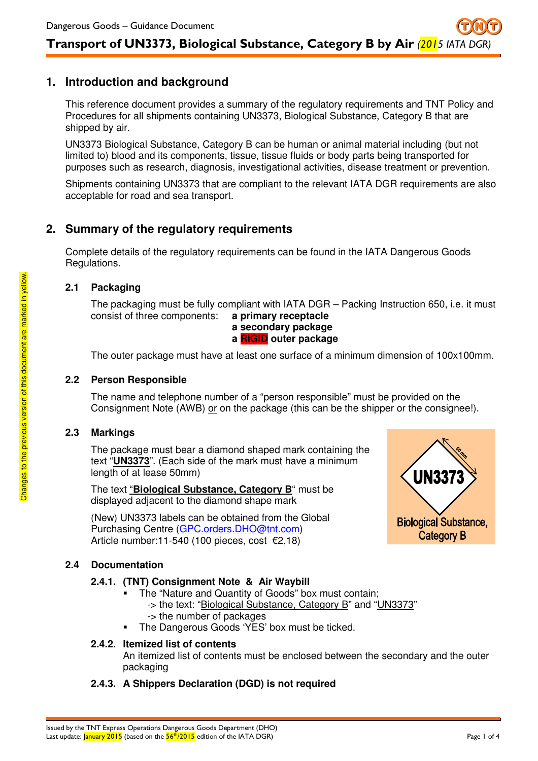**Transport of UN3373, Biological Substance, Category B by Air (2015 IATA DGR)** 

# **1. Introduction and background**

This reference document provides a summary of the regulatory requirements and TNT Policy and Procedures for all shipments containing UN3373, Biological Substance, Category B that are shipped by air.

UN3373 Biological Substance, Category B can be human or animal material including (but not limited to) blood and its components, tissue, tissue fluids or body parts being transported for purposes such as research, diagnosis, investigational activities, disease treatment or prevention.

Shipments containing UN3373 that are compliant to the relevant IATA DGR requirements are also acceptable for road and sea transport.

# **2. Summary of the regulatory requirements**

Complete details of the regulatory requirements can be found in the IATA Dangerous Goods Regulations.

## **2.1 Packaging**

The packaging must be fully compliant with IATA DGR – Packing Instruction 650, i.e. it must consist of three components: **a primary receptacle** 

## **a secondary package a RIGID outer package**

The outer package must have at least one surface of a minimum dimension of 100x100mm.

## **2.2 Person Responsible**

The name and telephone number of a "person responsible" must be provided on the Consignment Note (AWB) or on the package (this can be the shipper or the consignee!).

#### **2.3 Markings**

The package must bear a diamond shaped mark containing the text "**UN3373**". (Each side of the mark must have a minimum length of at lease 50mm)

The text "**Biological Substance, Category B**" must be displayed adjacent to the diamond shape mark

(New) UN3373 labels can be obtained from the Global Purchasing Centre (GPC.orders.DHO@tnt.com) Article number:11-540 (100 pieces, cost €2,18)

## **2.4 Documentation**

#### **2.4.1. (TNT) Consignment Note & Air Waybill**

- The "Nature and Quantity of Goods" box must contain;
	- -> the text: "Biological Substance, Category B" and "UN3373"
	- -> the number of packages
- **The Dangerous Goods 'YES' box must be ticked.**

#### **2.4.2. Itemized list of contents**

An itemized list of contents must be enclosed between the secondary and the outer packaging

## **2.4.3. A Shippers Declaration (DGD) is not required**

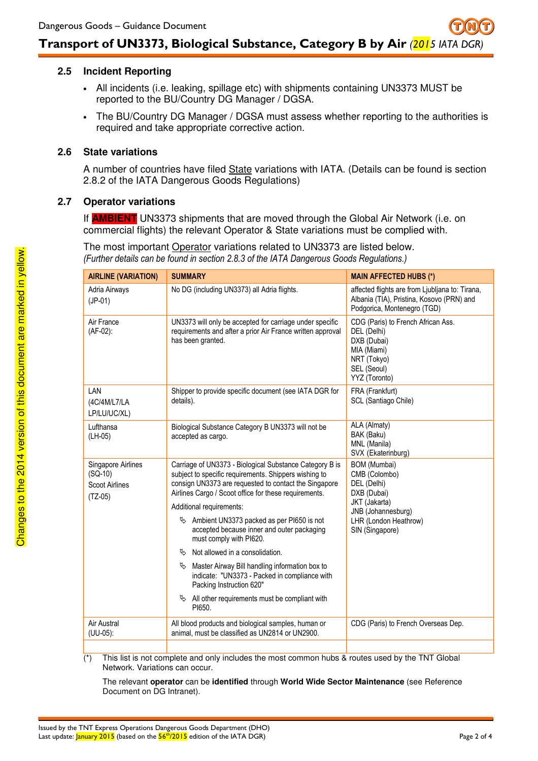**Transport of UN3373, Biological Substance, Category B by Air (2015 IATA DGR)** 

## **2.5 Incident Reporting**

- All incidents (i.e. leaking, spillage etc) with shipments containing UN3373 MUST be reported to the BU/Country DG Manager / DGSA.
- The BU/Country DG Manager / DGSA must assess whether reporting to the authorities is required and take appropriate corrective action.

## **2.6 State variations**

A number of countries have filed State variations with IATA. (Details can be found is section 2.8.2 of the IATA Dangerous Goods Regulations)

## **2.7 Operator variations**

If **AMBIENT** UN3373 shipments that are moved through the Global Air Network (i.e. on commercial flights) the relevant Operator & State variations must be complied with.

The most important Operator variations related to UN3373 are listed below. (Further details can be found in section 2.8.3 of the IATA Dangerous Goods Regulations.)

| <b>AIRLINE (VARIATION)</b>                                            | <b>SUMMARY</b>                                                                                                                                                                                                                     | <b>MAIN AFFECTED HUBS (*)</b>                                                                                                  |
|-----------------------------------------------------------------------|------------------------------------------------------------------------------------------------------------------------------------------------------------------------------------------------------------------------------------|--------------------------------------------------------------------------------------------------------------------------------|
| Adria Airways<br>$(JP-01)$                                            | No DG (including UN3373) all Adria flights.                                                                                                                                                                                        | affected flights are from Ljubljana to: Tirana,<br>Albania (TIA), Pristina, Kosovo (PRN) and<br>Podgorica, Montenegro (TGD)    |
| Air France<br>(AF-02):                                                | UN3373 will only be accepted for carriage under specific<br>requirements and after a prior Air France written approval<br>has been granted.                                                                                        | CDG (Paris) to French African Ass.<br>DEL (Delhi)<br>DXB (Dubai)<br>MIA (Miami)<br>NRT (Tokyo)<br>SEL (Seoul)<br>YYZ (Toronto) |
| LAN<br>(4C/4M/L7/LA<br>LP/LU/UC/XL)                                   | Shipper to provide specific document (see IATA DGR for<br>details).                                                                                                                                                                | FRA (Frankfurt)<br>SCL (Santiago Chile)                                                                                        |
| Lufthansa<br>$(LH-05)$                                                | Biological Substance Category B UN3373 will not be<br>accepted as cargo.                                                                                                                                                           | ALA (Almaty)<br>BAK (Baku)<br>MNL (Manila)<br>SVX (Ekaterinburg)                                                               |
| Singapore Airlines<br>$(SQ-10)$<br><b>Scoot Airlines</b><br>$(TZ-05)$ | Carriage of UN3373 - Biological Substance Category B is<br>subject to specific requirements. Shippers wishing to<br>consign UN3373 are requested to contact the Singapore<br>Airlines Cargo / Scoot office for these requirements. | BOM (Mumbai)<br>CMB (Colombo)<br>DEL (Delhi)<br>DXB (Dubai)                                                                    |
|                                                                       | Additional requirements:                                                                                                                                                                                                           | JKT (Jakarta)<br>JNB (Johannesburg)<br>LHR (London Heathrow)<br>SIN (Singapore)                                                |
|                                                                       | Ambient UN3373 packed as per PI650 is not<br>accepted because inner and outer packaging<br>must comply with PI620.                                                                                                                 |                                                                                                                                |
|                                                                       | Not allowed in a consolidation.<br>Æ,                                                                                                                                                                                              |                                                                                                                                |
|                                                                       | D.<br>Master Airway Bill handling information box to<br>indicate: "UN3373 - Packed in compliance with<br>Packing Instruction 620"                                                                                                  |                                                                                                                                |
|                                                                       | All other requirements must be compliant with<br>D.<br>PI650.                                                                                                                                                                      |                                                                                                                                |
| Air Austral<br>(UU-05):                                               | All blood products and biological samples, human or<br>animal, must be classified as UN2814 or UN2900.                                                                                                                             | CDG (Paris) to French Overseas Dep.                                                                                            |
|                                                                       |                                                                                                                                                                                                                                    |                                                                                                                                |

 $(*)$  This list is not complete and only includes the most common hubs & routes used by the TNT Global Network. Variations can occur.

 The relevant **operator** can be **identified** through **World Wide Sector Maintenance** (see Reference Document on DG Intranet).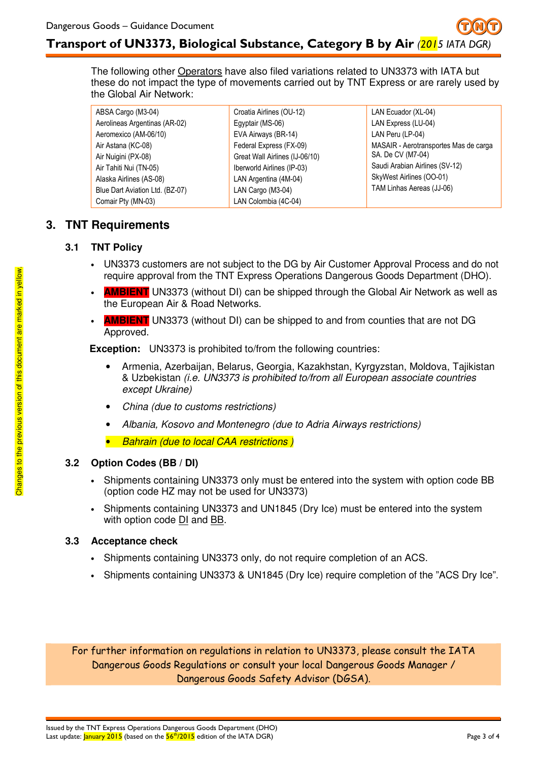The following other Operators have also filed variations related to UN3373 with IATA but these do not impact the type of movements carried out by TNT Express or are rarely used by the Global Air Network:

| ABSA Cargo (M3-04)              | Croatia Airlines (OU-12)       | LAN Ecuador (XL-04)                   |
|---------------------------------|--------------------------------|---------------------------------------|
| Aerolineas Argentinas (AR-02)   | Egyptair (MS-06)               | LAN Express (LU-04)                   |
| Aeromexico (AM-06/10)           | EVA Airways (BR-14)            | LAN Peru (LP-04)                      |
| Air Astana (KC-08)              | Federal Express (FX-09)        | MASAIR - Aerotransportes Mas de carga |
| Air Nuigini (PX-08)             | Great Wall Airlines (IJ-06/10) | SA. De CV (M7-04)                     |
| Air Tahiti Nui (TN-05)          | Iberworld Airlines (IP-03)     | Saudi Arabian Airlines (SV-12)        |
| Alaska Airlines (AS-08)         | LAN Argentina (4M-04)          | SkyWest Airlines (OO-01)              |
| Blue Dart Aviation Ltd. (BZ-07) | LAN Cargo (M3-04)              | TAM Linhas Aereas (JJ-06)             |
| Comair Pty (MN-03)              | LAN Colombia (4C-04)           |                                       |

# **3. TNT Requirements**

## **3.1 TNT Policy**

- UN3373 customers are not subject to the DG by Air Customer Approval Process and do not require approval from the TNT Express Operations Dangerous Goods Department (DHO).
- **AMBIENT** UN3373 (without DI) can be shipped through the Global Air Network as well as the European Air & Road Networks.
- **AMBIENT** UN3373 (without DI) can be shipped to and from counties that are not DG Approved.

**Exception:** UN3373 is prohibited to/from the following countries:

- Armenia, Azerbaijan, Belarus, Georgia, Kazakhstan, Kyrgyzstan, Moldova, Tajikistan & Uzbekistan (i.e. UN3373 is prohibited to/from all European associate countries except Ukraine)
- China (due to customs restrictions)
- Albania, Kosovo and Montenegro (due to Adria Airways restrictions)
- Bahrain (due to local CAA restrictions )

# **3.2 Option Codes (BB / DI)**

- Shipments containing UN3373 only must be entered into the system with option code BB (option code HZ may not be used for UN3373)
- Shipments containing UN3373 and UN1845 (Dry Ice) must be entered into the system with option code DI and BB.

# **3.3 Acceptance check**

- Shipments containing UN3373 only, do not require completion of an ACS.
- Shipments containing UN3373 & UN1845 (Dry Ice) require completion of the "ACS Dry Ice".

For further information on regulations in relation to UN3373, please consult the IATA Dangerous Goods Regulations or consult your local Dangerous Goods Manager / Dangerous Goods Safety Advisor (DGSA).